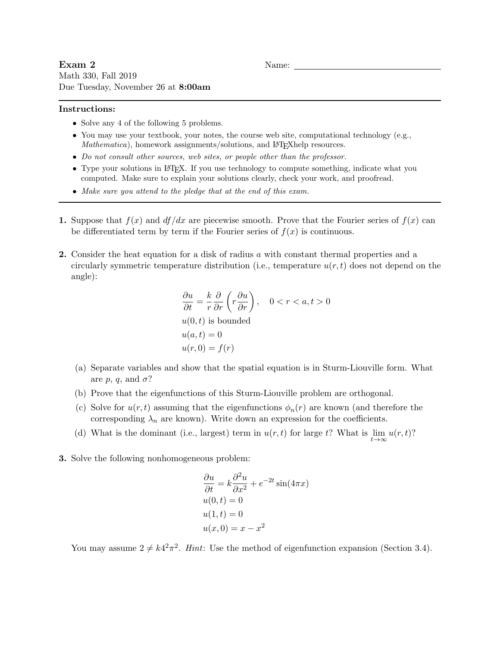## Instructions:

- Solve any 4 of the following 5 problems.
- You may use your textbook, your notes, the course web site, computational technology (e.g., Mathematica), homework assignments/solutions, and IAT<sub>E</sub>Xhelp resources.
- Do not consult other sources, web sites, or people other than the professor.
- Type your solutions in LATEX. If you use technology to compute something, indicate what you computed. Make sure to explain your solutions clearly, check your work, and proofread.
- Make sure you attend to the pledge that at the end of this exam.
- 1. Suppose that  $f(x)$  and  $df/dx$  are piecewise smooth. Prove that the Fourier series of  $f(x)$  can be differentiated term by term if the Fourier series of  $f(x)$  is continuous.
- 2. Consider the heat equation for a disk of radius a with constant thermal properties and a circularly symmetric temperature distribution (i.e., temperature  $u(r, t)$  does not depend on the angle):

$$
\begin{aligned}\n\frac{\partial u}{\partial t} &= \frac{k}{r} \frac{\partial}{\partial r} \left( r \frac{\partial u}{\partial r} \right), \quad 0 < r < a, t > 0 \\
u(0, t) & \text{is bounded} \\
u(a, t) &= 0 \\
u(r, 0) &= f(r)\n\end{aligned}
$$

- (a) Separate variables and show that the spatial equation is in Sturm-Liouville form. What are p, q, and  $\sigma$ ?
- (b) Prove that the eigenfunctions of this Sturm-Liouville problem are orthogonal.
- (c) Solve for  $u(r, t)$  assuming that the eigenfunctions  $\phi_n(r)$  are known (and therefore the corresponding  $\lambda_n$  are known). Write down an expression for the coefficients.
- (d) What is the dominant (i.e., largest) term in  $u(r, t)$  for large t? What is  $\lim_{t\to\infty} u(r, t)$ ?
- 3. Solve the following nonhomogeneous problem:

$$
\frac{\partial u}{\partial t} = k \frac{\partial^2 u}{\partial x^2} + e^{-2t} \sin(4\pi x)
$$
  
u(0, t) = 0  

$$
u(1, t) = 0
$$
  

$$
u(x, 0) = x - x^2
$$

You may assume  $2 \neq k4^2 \pi^2$ . Hint: Use the method of eigenfunction expansion (Section 3.4).